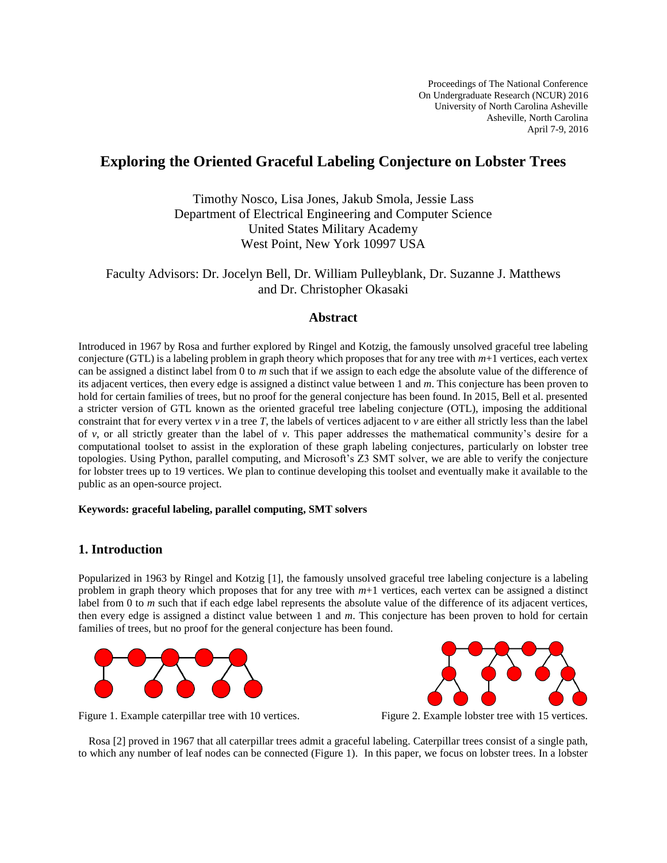Proceedings of The National Conference On Undergraduate Research (NCUR) 2016 University of North Carolina Asheville Asheville, North Carolina April 7-9, 2016

# **Exploring the Oriented Graceful Labeling Conjecture on Lobster Trees**

Timothy Nosco, Lisa Jones, Jakub Smola, Jessie Lass Department of Electrical Engineering and Computer Science United States Military Academy West Point, New York 10997 USA

# Faculty Advisors: Dr. Jocelyn Bell, Dr. William Pulleyblank, Dr. Suzanne J. Matthews and Dr. Christopher Okasaki

### **Abstract**

Introduced in 1967 by Rosa and further explored by Ringel and Kotzig, the famously unsolved graceful tree labeling conjecture (GTL) is a labeling problem in graph theory which proposes that for any tree with *m*+1 vertices, each vertex can be assigned a distinct label from 0 to *m* such that if we assign to each edge the absolute value of the difference of its adjacent vertices, then every edge is assigned a distinct value between 1 and *m*. This conjecture has been proven to hold for certain families of trees, but no proof for the general conjecture has been found. In 2015, Bell et al. presented a stricter version of GTL known as the oriented graceful tree labeling conjecture (OTL), imposing the additional constraint that for every vertex  $\nu$  in a tree *T*, the labels of vertices adjacent to  $\nu$  are either all strictly less than the label of *v*, or all strictly greater than the label of *v*. This paper addresses the mathematical community's desire for a computational toolset to assist in the exploration of these graph labeling conjectures, particularly on lobster tree topologies. Using Python, parallel computing, and Microsoft's Z3 SMT solver, we are able to verify the conjecture for lobster trees up to 19 vertices. We plan to continue developing this toolset and eventually make it available to the public as an open-source project.

### **Keywords: graceful labeling, parallel computing, SMT solvers**

## **1. Introduction**

Popularized in 1963 by Ringel and Kotzig [1], the famously unsolved graceful tree labeling conjecture is a labeling problem in graph theory which proposes that for any tree with *m*+1 vertices, each vertex can be assigned a distinct label from 0 to *m* such that if each edge label represents the absolute value of the difference of its adjacent vertices, then every edge is assigned a distinct value between 1 and *m*. This conjecture has been proven to hold for certain families of trees, but no proof for the general conjecture has been found.





Figure 1. Example caterpillar tree with 10 vertices. Figure 2. Example lobster tree with 15 vertices.

Rosa [2] proved in 1967 that all caterpillar trees admit a graceful labeling. Caterpillar trees consist of a single path, to which any number of leaf nodes can be connected (Figure 1). In this paper, we focus on lobster trees. In a lobster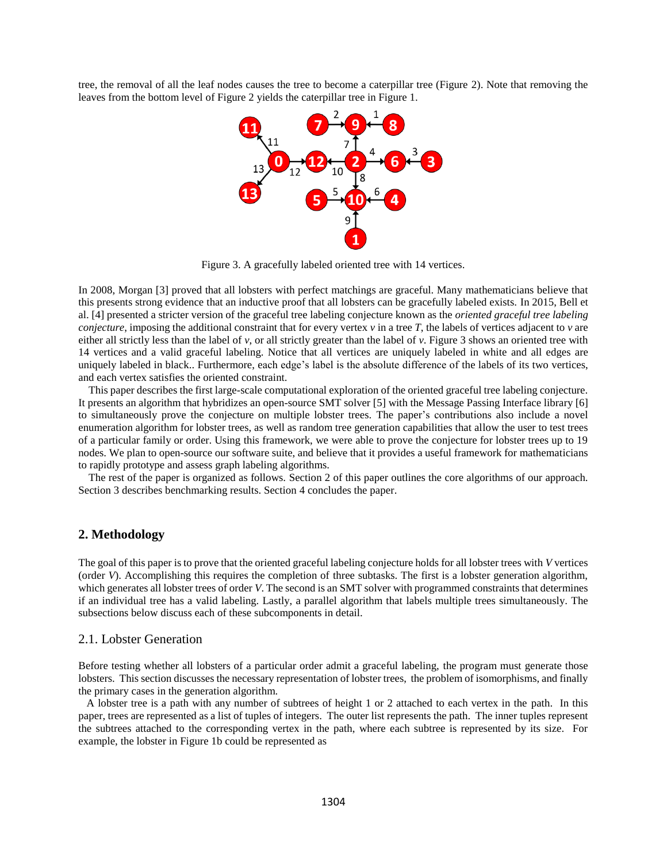tree, the removal of all the leaf nodes causes the tree to become a caterpillar tree (Figure 2). Note that removing the leaves from the bottom level of Figure 2 yields the caterpillar tree in Figure 1.



Figure 3. A gracefully labeled oriented tree with 14 vertices.

In 2008, Morgan [3] proved that all lobsters with perfect matchings are graceful. Many mathematicians believe that this presents strong evidence that an inductive proof that all lobsters can be gracefully labeled exists. In 2015, Bell et al. [4] presented a stricter version of the graceful tree labeling conjecture known as the *oriented graceful tree labeling conjecture*, imposing the additional constraint that for every vertex *v* in a tree *T*, the labels of vertices adjacent to *v* are either all strictly less than the label of *v*, or all strictly greater than the label of *v*. Figure 3 shows an oriented tree with 14 vertices and a valid graceful labeling. Notice that all vertices are uniquely labeled in white and all edges are uniquely labeled in black.. Furthermore, each edge's label is the absolute difference of the labels of its two vertices, and each vertex satisfies the oriented constraint.

This paper describes the first large-scale computational exploration of the oriented graceful tree labeling conjecture. It presents an algorithm that hybridizes an open-source SMT solver [5] with the Message Passing Interface library [6] to simultaneously prove the conjecture on multiple lobster trees. The paper's contributions also include a novel enumeration algorithm for lobster trees, as well as random tree generation capabilities that allow the user to test trees of a particular family or order. Using this framework, we were able to prove the conjecture for lobster trees up to 19 nodes. We plan to open-source our software suite, and believe that it provides a useful framework for mathematicians to rapidly prototype and assess graph labeling algorithms.

The rest of the paper is organized as follows. Section 2 of this paper outlines the core algorithms of our approach. Section 3 describes benchmarking results. Section 4 concludes the paper.

#### **2. Methodology**

The goal of this paper is to prove that the oriented graceful labeling conjecture holds for all lobster trees with *V* vertices (order *V*). Accomplishing this requires the completion of three subtasks. The first is a lobster generation algorithm, which generates all lobster trees of order *V*. The second is an SMT solver with programmed constraints that determines if an individual tree has a valid labeling. Lastly, a parallel algorithm that labels multiple trees simultaneously. The subsections below discuss each of these subcomponents in detail.

#### 2.1. Lobster Generation

Before testing whether all lobsters of a particular order admit a graceful labeling, the program must generate those lobsters. This section discusses the necessary representation of lobster trees, the problem of isomorphisms, and finally the primary cases in the generation algorithm.

 A lobster tree is a path with any number of subtrees of height 1 or 2 attached to each vertex in the path. In this paper, trees are represented as a list of tuples of integers. The outer list represents the path. The inner tuples represent the subtrees attached to the corresponding vertex in the path, where each subtree is represented by its size. For example, the lobster in Figure 1b could be represented as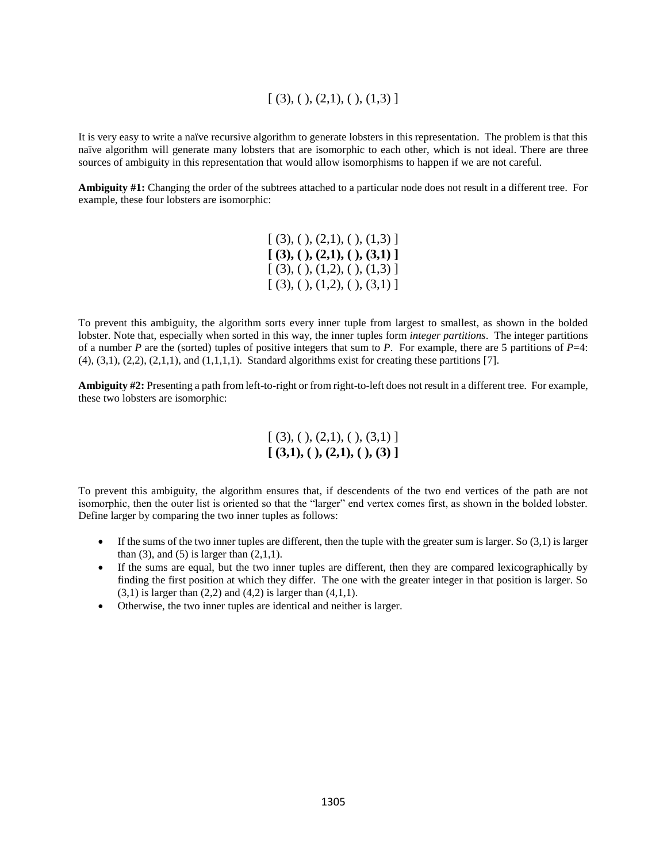# $[(3), ( ), (2,1), ( ), (1,3)]$

It is very easy to write a naïve recursive algorithm to generate lobsters in this representation. The problem is that this naïve algorithm will generate many lobsters that are isomorphic to each other, which is not ideal. There are three sources of ambiguity in this representation that would allow isomorphisms to happen if we are not careful.

**Ambiguity #1:** Changing the order of the subtrees attached to a particular node does not result in a different tree. For example, these four lobsters are isomorphic:

> $[ (3), ( ), (2,1), ( ), (1,3) ]$ **[ (3), ( ), (2,1), ( ), (3,1) ]**  $[ (3), ( ), (1,2), ( ), (1,3) ]$  $[ (3), ( ), (1,2), ( ), (3,1) ]$

To prevent this ambiguity, the algorithm sorts every inner tuple from largest to smallest, as shown in the bolded lobster. Note that, especially when sorted in this way, the inner tuples form *integer partitions*. The integer partitions of a number *P* are the (sorted) tuples of positive integers that sum to *P*. For example, there are 5 partitions of *P*=4:  $(4)$ ,  $(3,1)$ ,  $(2,2)$ ,  $(2,1,1)$ , and  $(1,1,1,1)$ . Standard algorithms exist for creating these partitions [7].

**Ambiguity #2:** Presenting a path from left-to-right or from right-to-left does not result in a different tree. For example, these two lobsters are isomorphic:

> $[(3), ( ), (2,1), ( ), (3,1)]$ **[ (3,1), ( ), (2,1), ( ), (3) ]**

To prevent this ambiguity, the algorithm ensures that, if descendents of the two end vertices of the path are not isomorphic, then the outer list is oriented so that the "larger" end vertex comes first, as shown in the bolded lobster. Define larger by comparing the two inner tuples as follows:

- If the sums of the two inner tuples are different, then the tuple with the greater sum is larger. So  $(3,1)$  is larger than  $(3)$ , and  $(5)$  is larger than  $(2,1,1)$ .
- If the sums are equal, but the two inner tuples are different, then they are compared lexicographically by finding the first position at which they differ. The one with the greater integer in that position is larger. So  $(3,1)$  is larger than  $(2,2)$  and  $(4,2)$  is larger than  $(4,1,1)$ .
- Otherwise, the two inner tuples are identical and neither is larger.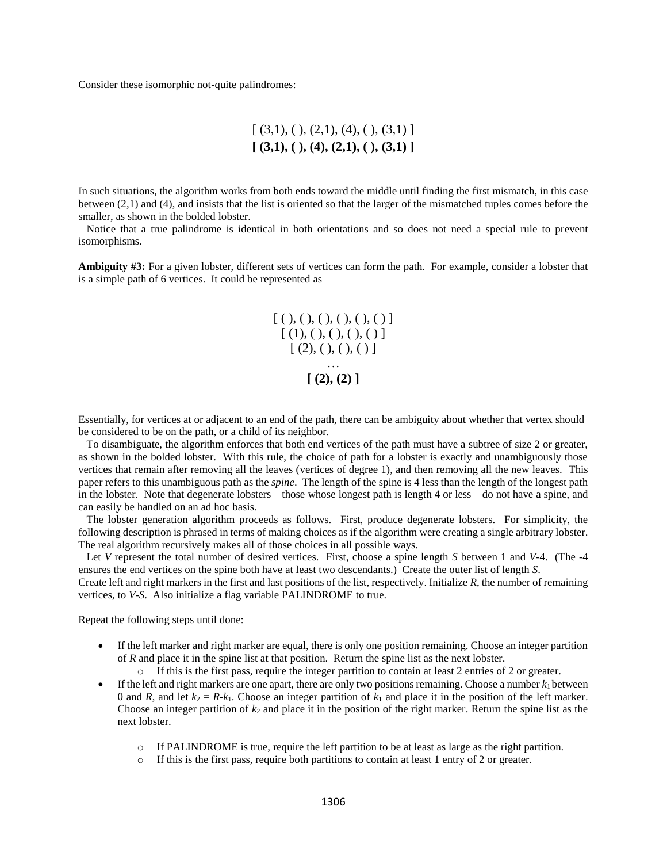Consider these isomorphic not-quite palindromes:

$$
[(3,1), ( ), (2,1), (4), ( ), (3,1) ]
$$

$$
[(3,1), ( ), (4), (2,1), ( ), (3,1) ]
$$

In such situations, the algorithm works from both ends toward the middle until finding the first mismatch, in this case between (2,1) and (4), and insists that the list is oriented so that the larger of the mismatched tuples comes before the smaller, as shown in the bolded lobster.

 Notice that a true palindrome is identical in both orientations and so does not need a special rule to prevent isomorphisms.

**Ambiguity #3:** For a given lobster, different sets of vertices can form the path. For example, consider a lobster that is a simple path of 6 vertices. It could be represented as

$$
\begin{array}{c}\n[ ( ), ( ), ( ), ( ), ( ), ( ))\n\end{array}\n\begin{array}{c}\n[ ( 1 ), ( ), ( ), ( ), ( )\n\end{array}\n\end{array}\n\quad\n\begin{array}{c}\n[ ( 2 ), ( ), ( ), ( )\n\end{array}\n\end{array}
$$

Essentially, for vertices at or adjacent to an end of the path, there can be ambiguity about whether that vertex should be considered to be on the path, or a child of its neighbor.

 To disambiguate, the algorithm enforces that both end vertices of the path must have a subtree of size 2 or greater, as shown in the bolded lobster. With this rule, the choice of path for a lobster is exactly and unambiguously those vertices that remain after removing all the leaves (vertices of degree 1), and then removing all the new leaves. This paper refers to this unambiguous path as the *spine*. The length of the spine is 4 less than the length of the longest path in the lobster. Note that degenerate lobsters—those whose longest path is length 4 or less—do not have a spine, and can easily be handled on an ad hoc basis.

 The lobster generation algorithm proceeds as follows. First, produce degenerate lobsters. For simplicity, the following description is phrased in terms of making choices as if the algorithm were creating a single arbitrary lobster. The real algorithm recursively makes all of those choices in all possible ways.

Let *V* represent the total number of desired vertices. First, choose a spine length *S* between 1 and *V*-4. (The -4 ensures the end vertices on the spine both have at least two descendants.) Create the outer list of length *S*.

Create left and right markers in the first and last positions of the list, respectively. Initialize *R*, the number of remaining vertices, to *V*-*S*. Also initialize a flag variable PALINDROME to true.

Repeat the following steps until done:

- If the left marker and right marker are equal, there is only one position remaining. Choose an integer partition of *R* and place it in the spine list at that position. Return the spine list as the next lobster.
	- o If this is the first pass, require the integer partition to contain at least 2 entries of 2 or greater.
- If the left and right markers are one apart, there are only two positions remaining. Choose a number  $k_1$  between 0 and *R*, and let  $k_2 = R - k_1$ . Choose an integer partition of  $k_1$  and place it in the position of the left marker. Choose an integer partition of  $k_2$  and place it in the position of the right marker. Return the spine list as the next lobster.
	- o If PALINDROME is true, require the left partition to be at least as large as the right partition.
	- $\circ$  If this is the first pass, require both partitions to contain at least 1 entry of 2 or greater.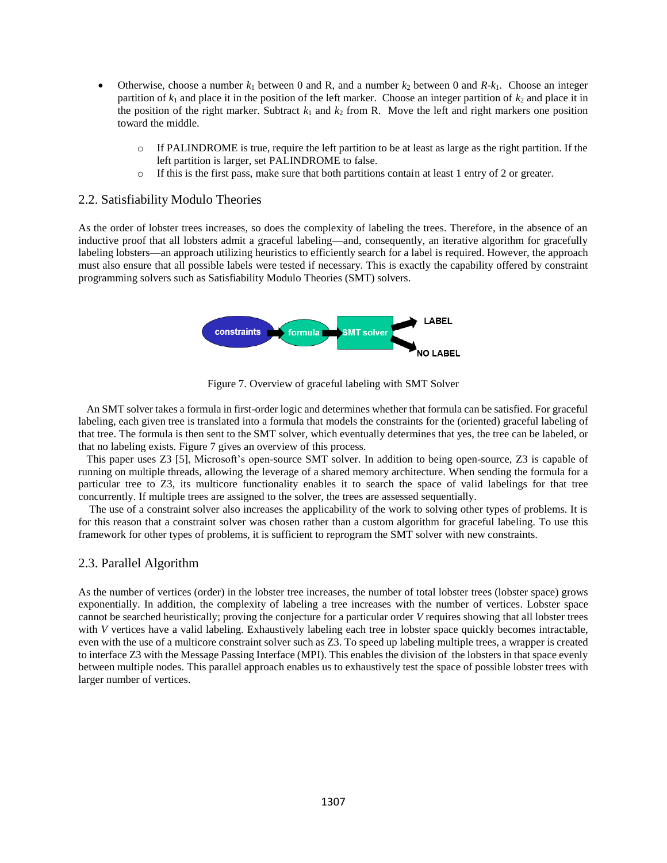- Otherwise, choose a number  $k_1$  between 0 and R, and a number  $k_2$  between 0 and  $R-k_1$ . Choose an integer partition of  $k_1$  and place it in the position of the left marker. Choose an integer partition of  $k_2$  and place it in the position of the right marker. Subtract  $k_1$  and  $k_2$  from R. Move the left and right markers one position toward the middle.
	- o If PALINDROME is true, require the left partition to be at least as large as the right partition. If the left partition is larger, set PALINDROME to false.
	- o If this is the first pass, make sure that both partitions contain at least 1 entry of 2 or greater.

#### 2.2. Satisfiability Modulo Theories

As the order of lobster trees increases, so does the complexity of labeling the trees. Therefore, in the absence of an inductive proof that all lobsters admit a graceful labeling—and, consequently, an iterative algorithm for gracefully labeling lobsters—an approach utilizing heuristics to efficiently search for a label is required. However, the approach must also ensure that all possible labels were tested if necessary. This is exactly the capability offered by constraint programming solvers such as Satisfiability Modulo Theories (SMT) solvers.



Figure 7. Overview of graceful labeling with SMT Solver

 An SMT solver takes a formula in first-order logic and determines whether that formula can be satisfied. For graceful labeling, each given tree is translated into a formula that models the constraints for the (oriented) graceful labeling of that tree. The formula is then sent to the SMT solver, which eventually determines that yes, the tree can be labeled, or that no labeling exists. Figure 7 gives an overview of this process.

 This paper uses Z3 [5], Microsoft's open-source SMT solver. In addition to being open-source, Z3 is capable of running on multiple threads, allowing the leverage of a shared memory architecture. When sending the formula for a particular tree to Z3, its multicore functionality enables it to search the space of valid labelings for that tree concurrently. If multiple trees are assigned to the solver, the trees are assessed sequentially.

 The use of a constraint solver also increases the applicability of the work to solving other types of problems. It is for this reason that a constraint solver was chosen rather than a custom algorithm for graceful labeling. To use this framework for other types of problems, it is sufficient to reprogram the SMT solver with new constraints.

### 2.3. Parallel Algorithm

As the number of vertices (order) in the lobster tree increases, the number of total lobster trees (lobster space) grows exponentially. In addition, the complexity of labeling a tree increases with the number of vertices. Lobster space cannot be searched heuristically; proving the conjecture for a particular order *V* requires showing that all lobster trees with *V* vertices have a valid labeling. Exhaustively labeling each tree in lobster space quickly becomes intractable, even with the use of a multicore constraint solver such as Z3. To speed up labeling multiple trees, a wrapper is created to interface Z3 with the Message Passing Interface (MPI). This enables the division of the lobsters in that space evenly between multiple nodes. This parallel approach enables us to exhaustively test the space of possible lobster trees with larger number of vertices.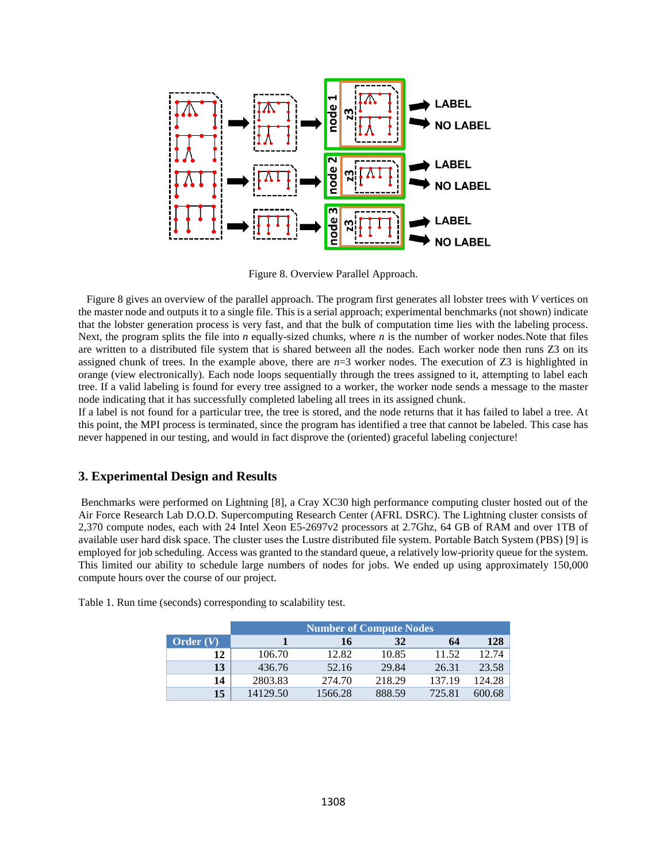

Figure 8. Overview Parallel Approach.

 Figure 8 gives an overview of the parallel approach. The program first generates all lobster trees with *V* vertices on the master node and outputs it to a single file. This is a serial approach; experimental benchmarks (not shown) indicate that the lobster generation process is very fast, and that the bulk of computation time lies with the labeling process. Next, the program splits the file into *n* equally-sized chunks, where *n* is the number of worker nodes.Note that files are written to a distributed file system that is shared between all the nodes. Each worker node then runs Z3 on its assigned chunk of trees. In the example above, there are *n*=3 worker nodes. The execution of Z3 is highlighted in orange (view electronically). Each node loops sequentially through the trees assigned to it, attempting to label each tree. If a valid labeling is found for every tree assigned to a worker, the worker node sends a message to the master node indicating that it has successfully completed labeling all trees in its assigned chunk.

If a label is not found for a particular tree, the tree is stored, and the node returns that it has failed to label a tree. At this point, the MPI process is terminated, since the program has identified a tree that cannot be labeled. This case has never happened in our testing, and would in fact disprove the (oriented) graceful labeling conjecture!

### **3. Experimental Design and Results**

Benchmarks were performed on Lightning [8], a Cray XC30 high performance computing cluster hosted out of the Air Force Research Lab D.O.D. Supercomputing Research Center (AFRL DSRC). The Lightning cluster consists of 2,370 compute nodes, each with 24 Intel Xeon E5-2697v2 processors at 2.7Ghz, 64 GB of RAM and over 1TB of available user hard disk space. The cluster uses the Lustre distributed file system. Portable Batch System (PBS) [9] is employed for job scheduling. Access was granted to the standard queue, a relatively low-priority queue for the system. This limited our ability to schedule large numbers of nodes for jobs. We ended up using approximately 150,000 compute hours over the course of our project.

|             | <b>Number of Compute Nodes</b> |         |        |        |        |  |  |
|-------------|--------------------------------|---------|--------|--------|--------|--|--|
| Order $(V)$ |                                | 16      | 32     | 64     | 128    |  |  |
| 12          | 106.70                         | 12.82   | 10.85  | 11.52  | 12.74  |  |  |
| 13          | 436.76                         | 52.16   | 29.84  | 26.31  | 23.58  |  |  |
| 14          | 2803.83                        | 274.70  | 218.29 | 137.19 | 124.28 |  |  |
| 15          | 14129.50                       | 1566.28 | 888.59 | 725.81 | 600.68 |  |  |

Table 1. Run time (seconds) corresponding to scalability test.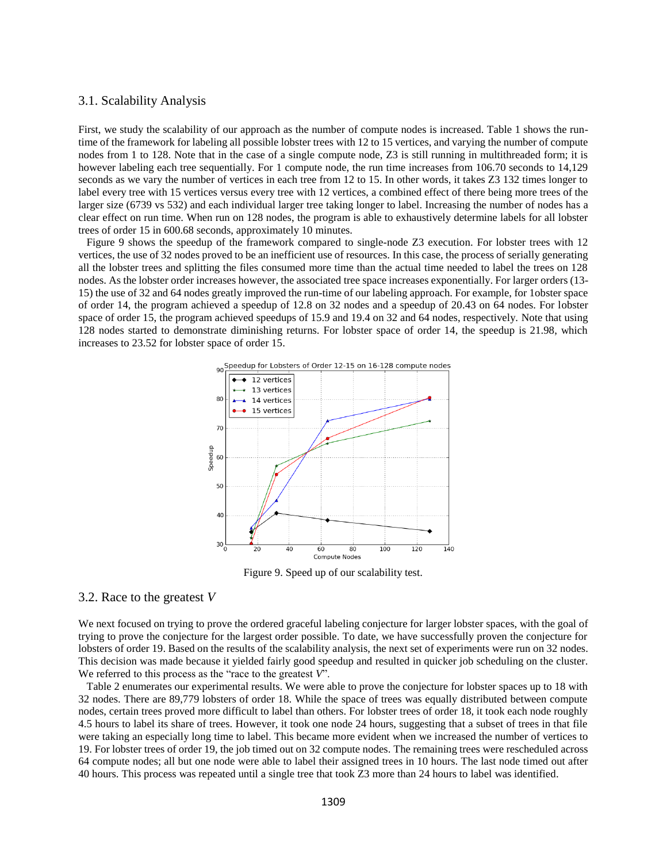### 3.1. Scalability Analysis

First, we study the scalability of our approach as the number of compute nodes is increased. Table 1 shows the runtime of the framework for labeling all possible lobster trees with 12 to 15 vertices, and varying the number of compute nodes from 1 to 128. Note that in the case of a single compute node, Z3 is still running in multithreaded form; it is however labeling each tree sequentially. For 1 compute node, the run time increases from 106.70 seconds to 14,129 seconds as we vary the number of vertices in each tree from 12 to 15. In other words, it takes Z3 132 times longer to label every tree with 15 vertices versus every tree with 12 vertices, a combined effect of there being more trees of the larger size (6739 vs 532) and each individual larger tree taking longer to label. Increasing the number of nodes has a clear effect on run time. When run on 128 nodes, the program is able to exhaustively determine labels for all lobster trees of order 15 in 600.68 seconds, approximately 10 minutes.

 Figure 9 shows the speedup of the framework compared to single-node Z3 execution. For lobster trees with 12 vertices, the use of 32 nodes proved to be an inefficient use of resources. In this case, the process of serially generating all the lobster trees and splitting the files consumed more time than the actual time needed to label the trees on 128 nodes. As the lobster order increases however, the associated tree space increases exponentially. For larger orders (13- 15) the use of 32 and 64 nodes greatly improved the run-time of our labeling approach. For example, for 1obster space of order 14, the program achieved a speedup of 12.8 on 32 nodes and a speedup of 20.43 on 64 nodes. For lobster space of order 15, the program achieved speedups of 15.9 and 19.4 on 32 and 64 nodes, respectively. Note that using 128 nodes started to demonstrate diminishing returns. For lobster space of order 14, the speedup is 21.98, which increases to 23.52 for lobster space of order 15.



Figure 9. Speed up of our scalability test.

#### 3.2. Race to the greatest *V*

We next focused on trying to prove the ordered graceful labeling conjecture for larger lobster spaces, with the goal of trying to prove the conjecture for the largest order possible. To date, we have successfully proven the conjecture for lobsters of order 19. Based on the results of the scalability analysis, the next set of experiments were run on 32 nodes. This decision was made because it yielded fairly good speedup and resulted in quicker job scheduling on the cluster. We referred to this process as the "race to the greatest *V*".

 Table 2 enumerates our experimental results. We were able to prove the conjecture for lobster spaces up to 18 with 32 nodes. There are 89,779 lobsters of order 18. While the space of trees was equally distributed between compute nodes, certain trees proved more difficult to label than others. For lobster trees of order 18, it took each node roughly 4.5 hours to label its share of trees. However, it took one node 24 hours, suggesting that a subset of trees in that file were taking an especially long time to label. This became more evident when we increased the number of vertices to 19. For lobster trees of order 19, the job timed out on 32 compute nodes. The remaining trees were rescheduled across 64 compute nodes; all but one node were able to label their assigned trees in 10 hours. The last node timed out after 40 hours. This process was repeated until a single tree that took Z3 more than 24 hours to label was identified.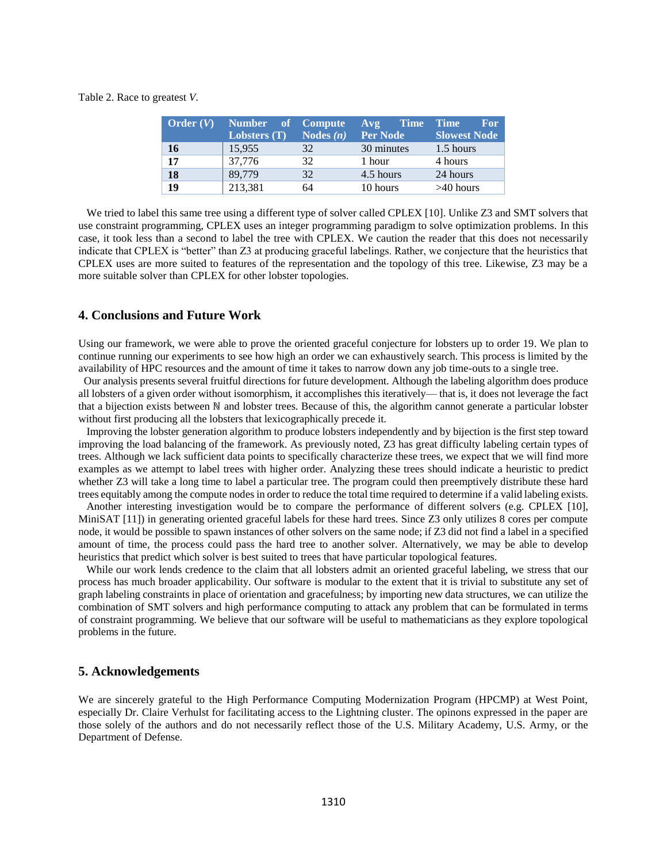Table 2. Race to greatest *V*.

| <b>Order</b> $(V)$ | Number of Compute |             | <b>Time</b><br>A <sub>V</sub> | <b>Time</b><br><b>For</b> |
|--------------------|-------------------|-------------|-------------------------------|---------------------------|
|                    | Lobsters $(T)$    | Nodes $(n)$ | Per Node                      | Slowest Node              |
| 16                 | 15,955            | 32          | 30 minutes                    | 1.5 hours                 |
| 17                 | 37,776            | 32          | 1 hour                        | 4 hours                   |
| 18                 | 89,779            | 32          | 4.5 hours                     | 24 hours                  |
| 19                 | 213,381           | 64          | 10 hours                      | $>40$ hours               |

We tried to label this same tree using a different type of solver called CPLEX [10]. Unlike Z3 and SMT solvers that use constraint programming, CPLEX uses an integer programming paradigm to solve optimization problems. In this case, it took less than a second to label the tree with CPLEX. We caution the reader that this does not necessarily indicate that CPLEX is "better" than Z3 at producing graceful labelings. Rather, we conjecture that the heuristics that CPLEX uses are more suited to features of the representation and the topology of this tree. Likewise, Z3 may be a more suitable solver than CPLEX for other lobster topologies.

#### **4. Conclusions and Future Work**

Using our framework, we were able to prove the oriented graceful conjecture for lobsters up to order 19. We plan to continue running our experiments to see how high an order we can exhaustively search. This process is limited by the availability of HPC resources and the amount of time it takes to narrow down any job time-outs to a single tree.

 Our analysis presents several fruitful directions for future development. Although the labeling algorithm does produce all lobsters of a given order without isomorphism, it accomplishes this iteratively— that is, it does not leverage the fact that a bijection exists between ℕ and lobster trees. Because of this, the algorithm cannot generate a particular lobster without first producing all the lobsters that lexicographically precede it.

 Improving the lobster generation algorithm to produce lobsters independently and by bijection is the first step toward improving the load balancing of the framework. As previously noted, Z3 has great difficulty labeling certain types of trees. Although we lack sufficient data points to specifically characterize these trees, we expect that we will find more examples as we attempt to label trees with higher order. Analyzing these trees should indicate a heuristic to predict whether Z3 will take a long time to label a particular tree. The program could then preemptively distribute these hard trees equitably among the compute nodes in order to reduce the total time required to determine if a valid labeling exists.

 Another interesting investigation would be to compare the performance of different solvers (e.g. CPLEX [10], MiniSAT [11]) in generating oriented graceful labels for these hard trees. Since Z3 only utilizes 8 cores per compute node, it would be possible to spawn instances of other solvers on the same node; if Z3 did not find a label in a specified amount of time, the process could pass the hard tree to another solver. Alternatively, we may be able to develop heuristics that predict which solver is best suited to trees that have particular topological features.

 While our work lends credence to the claim that all lobsters admit an oriented graceful labeling, we stress that our process has much broader applicability. Our software is modular to the extent that it is trivial to substitute any set of graph labeling constraints in place of orientation and gracefulness; by importing new data structures, we can utilize the combination of SMT solvers and high performance computing to attack any problem that can be formulated in terms of constraint programming. We believe that our software will be useful to mathematicians as they explore topological problems in the future.

#### **5. Acknowledgements**

We are sincerely grateful to the High Performance Computing Modernization Program (HPCMP) at West Point, especially Dr. Claire Verhulst for facilitating access to the Lightning cluster. The opinons expressed in the paper are those solely of the authors and do not necessarily reflect those of the U.S. Military Academy, U.S. Army, or the Department of Defense.